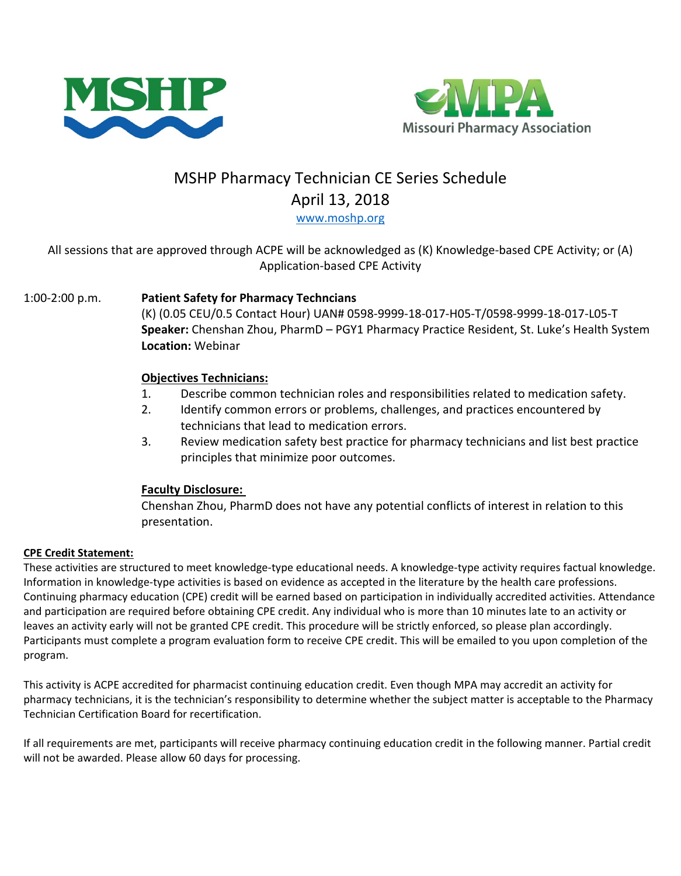



# MSHP Pharmacy Technician CE Series Schedule April 13, 2018

[www.moshp.org](http://www.moshp.org/)

### All sessions that are approved through ACPE will be acknowledged as (K) Knowledge-based CPE Activity; or (A) Application-based CPE Activity

### 1:00-2:00 p.m. **Patient Safety for Pharmacy Techncians**

(K) (0.05 CEU/0.5 Contact Hour) UAN# 0598-9999-18-017-H05-T/0598-9999-18-017-L05-T **Speaker:** Chenshan Zhou, PharmD – PGY1 Pharmacy Practice Resident, St. Luke's Health System **Location:** Webinar

#### **Objectives Technicians:**

- 1. Describe common technician roles and responsibilities related to medication safety.
- 2. Identify common errors or problems, challenges, and practices encountered by technicians that lead to medication errors.
- 3. Review medication safety best practice for pharmacy technicians and list best practice principles that minimize poor outcomes.

## **Faculty Disclosure:**

Chenshan Zhou, PharmD does not have any potential conflicts of interest in relation to this presentation.

#### **CPE Credit Statement:**

These activities are structured to meet knowledge-type educational needs. A knowledge-type activity requires factual knowledge. Information in knowledge-type activities is based on evidence as accepted in the literature by the health care professions. Continuing pharmacy education (CPE) credit will be earned based on participation in individually accredited activities. Attendance and participation are required before obtaining CPE credit. Any individual who is more than 10 minutes late to an activity or leaves an activity early will not be granted CPE credit. This procedure will be strictly enforced, so please plan accordingly. Participants must complete a program evaluation form to receive CPE credit. This will be emailed to you upon completion of the program.

This activity is ACPE accredited for pharmacist continuing education credit. Even though MPA may accredit an activity for pharmacy technicians, it is the technician's responsibility to determine whether the subject matter is acceptable to the Pharmacy Technician Certification Board for recertification.

If all requirements are met, participants will receive pharmacy continuing education credit in the following manner. Partial credit will not be awarded. Please allow 60 days for processing.